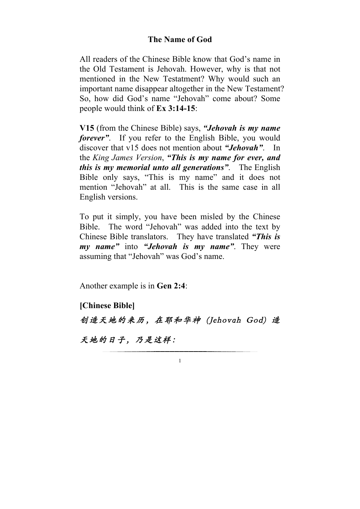## **The Name of God**

All readers of the Chinese Bible know that God's name in the Old Testament is Jehovah. However, why is that not mentioned in the New Testatment? Why would such an important name disappear altogether in the New Testament? So, how did God's name "Jehovah" come about? Some people would think of **Ex 3:14-15**:

**V15** (from the Chinese Bible) says, *"Jehovah is my name forever*". If you refer to the English Bible, you would discover that v15 does not mention about *"Jehovah"*. In the *King James Version*, *"This is my name for ever, and this is my memorial unto all generations"*. The English Bible only says, "This is my name" and it does not mention "Jehovah" at all. This is the same case in all English versions.

To put it simply, you have been misled by the Chinese Bible. The word "Jehovah" was added into the text by Chinese Bible translators. They have translated *"This is my name"* into *"Jehovah is my name"*. They were assuming that "Jehovah" was God's name.

Another example is in **Gen 2:4**:

**[Chinese Bible]** 创造天地的来历,在耶和华神 (Jehovah God) 造 天地的日子,乃是这样: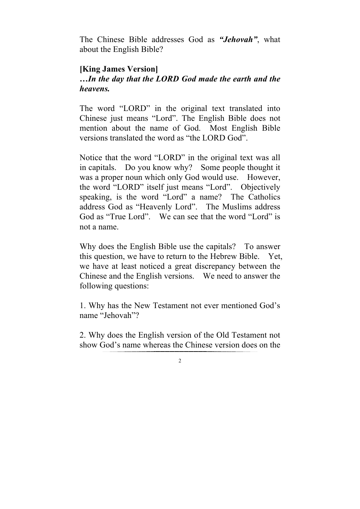The Chinese Bible addresses God as *"Jehovah"*, what about the English Bible?

## **[King James Version]**

## *…In the day that the LORD God made the earth and the heavens.*

The word "LORD" in the original text translated into Chinese just means "Lord". The English Bible does not mention about the name of God. Most English Bible versions translated the word as "the LORD God".

Notice that the word "LORD" in the original text was all in capitals. Do you know why? Some people thought it was a proper noun which only God would use. However, the word "LORD" itself just means "Lord". Objectively speaking, is the word "Lord" a name? The Catholics address God as "Heavenly Lord". The Muslims address God as "True Lord". We can see that the word "Lord" is not a name.

Why does the English Bible use the capitals? To answer this question, we have to return to the Hebrew Bible. Yet, we have at least noticed a great discrepancy between the Chinese and the English versions. We need to answer the following questions:

1. Why has the New Testament not ever mentioned God's name "Jehovah"?

2. Why does the English version of the Old Testament not show God's name whereas the Chinese version does on the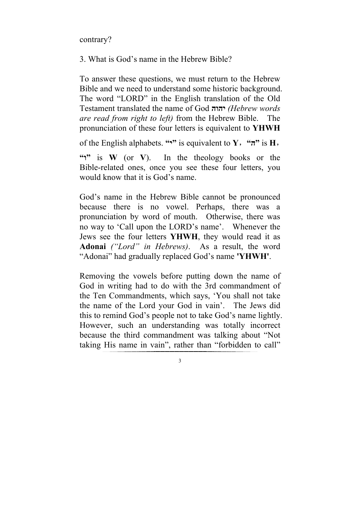contrary?

3. What is God's name in the Hebrew Bible?

To answer these questions, we must return to the Hebrew Bible and we need to understand some historic background. The word "LORD" in the English translation of the Old Testament translated the name of God **יהוה***) Hebrew words are read from right to left)* from the Hebrew Bible. The pronunciation of these four letters is equivalent to **YHWH**

of the English alphabets. "**\*\***" is equivalent to **Y**, "**\*\***" is **H**,

"
"
" **is W** (or V). In the theology books or the Bible-related ones, once you see these four letters, you would know that it is God's name.

God's name in the Hebrew Bible cannot be pronounced because there is no vowel. Perhaps, there was a pronunciation by word of mouth. Otherwise, there was no way to 'Call upon the LORD's name'. Whenever the Jews see the four letters **YHWH**, they would read it as **Adonai** *("Lord" in Hebrews)*. As a result, the word "Adonai" had gradually replaced God's name **'YHWH'**.

Removing the vowels before putting down the name of God in writing had to do with the 3rd commandment of the Ten Commandments, which says, 'You shall not take the name of the Lord your God in vain'. The Jews did this to remind God's people not to take God's name lightly. However, such an understanding was totally incorrect because the third commandment was talking about "Not taking His name in vain", rather than "forbidden to call"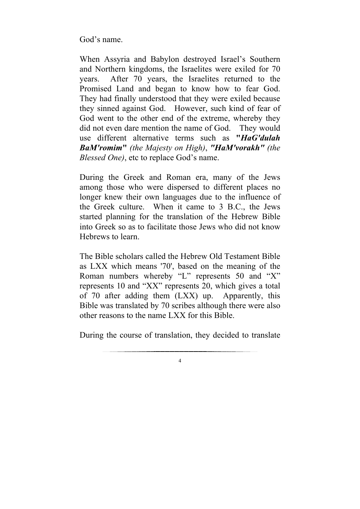God's name.

When Assyria and Babylon destroyed Israel's Southern and Northern kingdoms, the Israelites were exiled for 70 years. After 70 years, the Israelites returned to the Promised Land and began to know how to fear God. They had finally understood that they were exiled because they sinned against God. However, such kind of fear of God went to the other end of the extreme, whereby they did not even dare mention the name of God. They would use different alternative terms such as **"***HaG'dulah BaM'romim***"** *(the Majesty on High)*, *"HaM'vorakh" (the Blessed One)*, etc to replace God's name.

During the Greek and Roman era, many of the Jews among those who were dispersed to different places no longer knew their own languages due to the influence of the Greek culture. When it came to 3 B.C., the Jews started planning for the translation of the Hebrew Bible into Greek so as to facilitate those Jews who did not know Hebrews to learn.

The Bible scholars called the Hebrew Old Testament Bible as LXX which means '70', based on the meaning of the Roman numbers whereby "L" represents 50 and "X" represents 10 and "XX" represents 20, which gives a total of 70 after adding them (LXX) up. Apparently, this Bible was translated by 70 scribes although there were also other reasons to the name LXX for this Bible.

During the course of translation, they decided to translate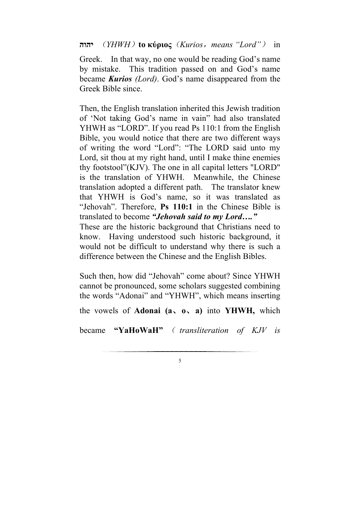**יהוה**) *YHWH*)**to κύριος**(*Kurios*,*means "Lord"*) in

Greek. In that way, no one would be reading God's name by mistake. This tradition passed on and God's name became *Kurios (Lord)*. God's name disappeared from the Greek Bible since.

Then, the English translation inherited this Jewish tradition of 'Not taking God's name in vain" had also translated YHWH as "LORD". If you read Ps 110:1 from the English Bible, you would notice that there are two different ways of writing the word "Lord": "The LORD said unto my Lord, sit thou at my right hand, until I make thine enemies thy footstool"(KJV). The one in all capital letters "LORD" is the translation of YHWH. Meanwhile, the Chinese translation adopted a different path. The translator knew that YHWH is God's name, so it was translated as "Jehovah". Therefore, **Ps 110:1** in the Chinese Bible is translated to become *"Jehovah said to my Lord…."*

These are the historic background that Christians need to know. Having understood such historic background, it would not be difficult to understand why there is such a difference between the Chinese and the English Bibles.

Such then, how did "Jehovah" come about? Since YHWH cannot be pronounced, some scholars suggested combining the words "Adonai" and "YHWH", which means inserting the vowels of **Adonai (a**、**o**、**a)** into **YHWH,** which became **"YaHoWaH"** ( *transliteration of KJV is*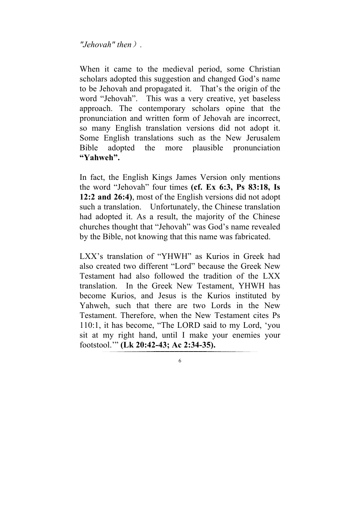*"Jehovah" then*)*.*

When it came to the medieval period, some Christian scholars adopted this suggestion and changed God's name to be Jehovah and propagated it. That's the origin of the word "Jehovah". This was a very creative, yet baseless approach. The contemporary scholars opine that the pronunciation and written form of Jehovah are incorrect, so many English translation versions did not adopt it. Some English translations such as the New Jerusalem Bible adopted the more plausible pronunciation **"Yahweh".**

In fact, the English Kings James Version only mentions the word "Jehovah" four times **(cf. Ex 6:3, Ps 83:18, Is 12:2 and 26:4)**, most of the English versions did not adopt such a translation. Unfortunately, the Chinese translation had adopted it. As a result, the majority of the Chinese churches thought that "Jehovah" was God's name revealed by the Bible, not knowing that this name was fabricated.

LXX's translation of "YHWH" as Kurios in Greek had also created two different "Lord" because the Greek New Testament had also followed the tradition of the LXX translation. In the Greek New Testament, YHWH has become Kurios, and Jesus is the Kurios instituted by Yahweh, such that there are two Lords in the New Testament. Therefore, when the New Testament cites Ps 110:1, it has become, "The LORD said to my Lord, 'you sit at my right hand, until I make your enemies your footstool.'" **(Lk 20:42-43; Ac 2:34-35).**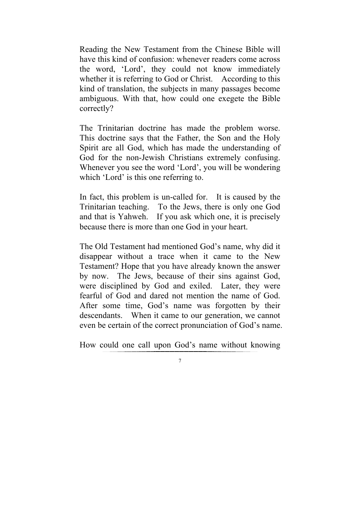Reading the New Testament from the Chinese Bible will have this kind of confusion: whenever readers come across the word, 'Lord', they could not know immediately whether it is referring to God or Christ. According to this kind of translation, the subjects in many passages become ambiguous. With that, how could one exegete the Bible correctly?

The Trinitarian doctrine has made the problem worse. This doctrine says that the Father, the Son and the Holy Spirit are all God, which has made the understanding of God for the non-Jewish Christians extremely confusing. Whenever you see the word 'Lord', you will be wondering which 'Lord' is this one referring to.

In fact, this problem is un-called for. It is caused by the Trinitarian teaching. To the Jews, there is only one God and that is Yahweh. If you ask which one, it is precisely because there is more than one God in your heart.

The Old Testament had mentioned God's name, why did it disappear without a trace when it came to the New Testament? Hope that you have already known the answer by now. The Jews, because of their sins against God, were disciplined by God and exiled. Later, they were fearful of God and dared not mention the name of God. After some time, God's name was forgotten by their descendants. When it came to our generation, we cannot even be certain of the correct pronunciation of God's name.

How could one call upon God's name without knowing